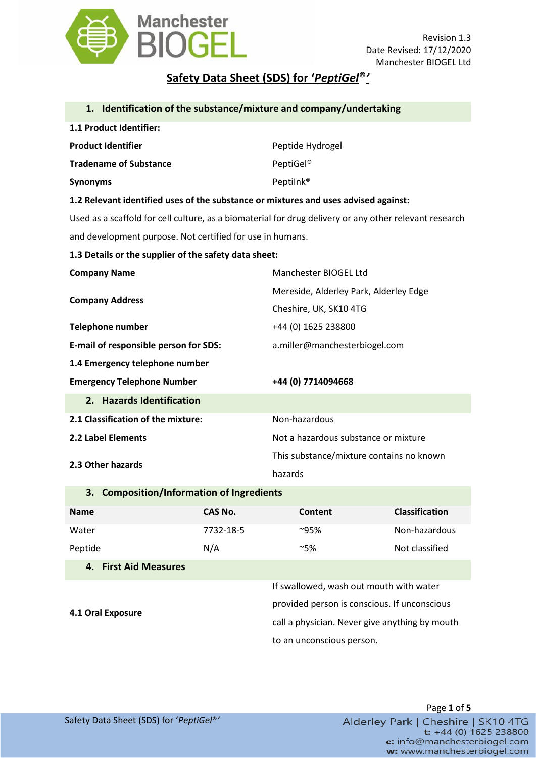

## **Safety Data Sheet (SDS) for '***PeptiGel*®*'*

|                                                                                                        |                | 1. Identification of the substance/mixture and company/undertaking |                       |  |
|--------------------------------------------------------------------------------------------------------|----------------|--------------------------------------------------------------------|-----------------------|--|
| 1.1 Product Identifier:                                                                                |                |                                                                    |                       |  |
| <b>Product Identifier</b>                                                                              |                | Peptide Hydrogel                                                   |                       |  |
| <b>Tradename of Substance</b>                                                                          |                | PeptiGel <sup>®</sup>                                              |                       |  |
| <b>Synonyms</b>                                                                                        |                | Peptilnk <sup>®</sup>                                              |                       |  |
| 1.2 Relevant identified uses of the substance or mixtures and uses advised against:                    |                |                                                                    |                       |  |
| Used as a scaffold for cell culture, as a biomaterial for drug delivery or any other relevant research |                |                                                                    |                       |  |
| and development purpose. Not certified for use in humans.                                              |                |                                                                    |                       |  |
| 1.3 Details or the supplier of the safety data sheet:                                                  |                |                                                                    |                       |  |
| <b>Company Name</b>                                                                                    |                | Manchester BIOGEL Ltd                                              |                       |  |
| <b>Company Address</b>                                                                                 |                | Mereside, Alderley Park, Alderley Edge                             |                       |  |
|                                                                                                        |                | Cheshire, UK, SK10 4TG                                             |                       |  |
| Telephone number                                                                                       |                | +44 (0) 1625 238800                                                |                       |  |
| E-mail of responsible person for SDS:                                                                  |                | a.miller@manchesterbiogel.com                                      |                       |  |
| 1.4 Emergency telephone number                                                                         |                |                                                                    |                       |  |
| <b>Emergency Telephone Number</b>                                                                      |                | +44 (0) 7714094668                                                 |                       |  |
| 2. Hazards Identification                                                                              |                |                                                                    |                       |  |
| 2.1 Classification of the mixture:                                                                     |                | Non-hazardous                                                      |                       |  |
| 2.2 Label Elements                                                                                     |                | Not a hazardous substance or mixture                               |                       |  |
| 2.3 Other hazards                                                                                      |                | This substance/mixture contains no known                           |                       |  |
|                                                                                                        |                | hazards                                                            |                       |  |
| 3. Composition/Information of Ingredients                                                              |                |                                                                    |                       |  |
| <b>Name</b>                                                                                            | <b>CAS No.</b> | <b>Content</b>                                                     | <b>Classification</b> |  |
| Water                                                                                                  | 7732-18-5      | $^{\sim}95\%$                                                      | Non-hazardous         |  |
| Peptide                                                                                                | N/A            | ~5%                                                                | Not classified        |  |
| 4. First Aid Measures                                                                                  |                |                                                                    |                       |  |

**4.1 Oral Exposure**

If swallowed, wash out mouth with water provided person is conscious. If unconscious call a physician. Never give anything by mouth to an unconscious person.

Page **1** of **5** Alderley Park | Cheshire | SK10 4TG  $t$ : +44 (0) 1625 238800 e: info@manchesterbiogel.com w: www.manchesterbiogel.com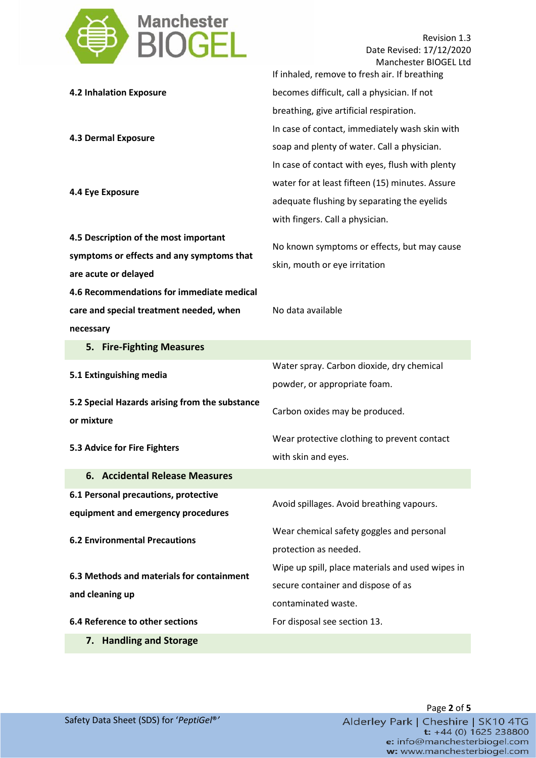

Revision 1.3 Date Revised: 17/12/2020 Manchester BIOGEL Ltd

|                                                              | If inhaled, remove to fresh air. If breathing    |
|--------------------------------------------------------------|--------------------------------------------------|
| <b>4.2 Inhalation Exposure</b>                               | becomes difficult, call a physician. If not      |
|                                                              | breathing, give artificial respiration.          |
| <b>4.3 Dermal Exposure</b><br>4.4 Eye Exposure               | In case of contact, immediately wash skin with   |
|                                                              | soap and plenty of water. Call a physician.      |
|                                                              | In case of contact with eyes, flush with plenty  |
|                                                              | water for at least fifteen (15) minutes. Assure  |
|                                                              | adequate flushing by separating the eyelids      |
|                                                              | with fingers. Call a physician.                  |
| 4.5 Description of the most important                        | No known symptoms or effects, but may cause      |
| symptoms or effects and any symptoms that                    | skin, mouth or eye irritation                    |
| are acute or delayed                                         |                                                  |
| 4.6 Recommendations for immediate medical                    |                                                  |
| care and special treatment needed, when                      | No data available                                |
| necessary                                                    |                                                  |
| 5. Fire-Fighting Measures                                    |                                                  |
| 5.1 Extinguishing media                                      | Water spray. Carbon dioxide, dry chemical        |
|                                                              | powder, or appropriate foam.                     |
| 5.2 Special Hazards arising from the substance               | Carbon oxides may be produced.                   |
| or mixture                                                   |                                                  |
| 5.3 Advice for Fire Fighters                                 | Wear protective clothing to prevent contact      |
|                                                              | with skin and eyes.                              |
| 6. Accidental Release Measures                               |                                                  |
| 6.1 Personal precautions, protective                         | Avoid spillages. Avoid breathing vapours.        |
| equipment and emergency procedures                           |                                                  |
| <b>6.2 Environmental Precautions</b>                         | Wear chemical safety goggles and personal        |
|                                                              | protection as needed.                            |
| 6.3 Methods and materials for containment<br>and cleaning up | Wipe up spill, place materials and used wipes in |
|                                                              | secure container and dispose of as               |
|                                                              | contaminated waste.                              |
| 6.4 Reference to other sections                              | For disposal see section 13.                     |
| 7. Handling and Storage                                      |                                                  |

Page **2** of **5** Alderley Park | Cheshire | SK10 4TG  $t$ : +44 (0) 1625 238800 e: info@manchesterbiogel.com w: www.manchesterbiogel.com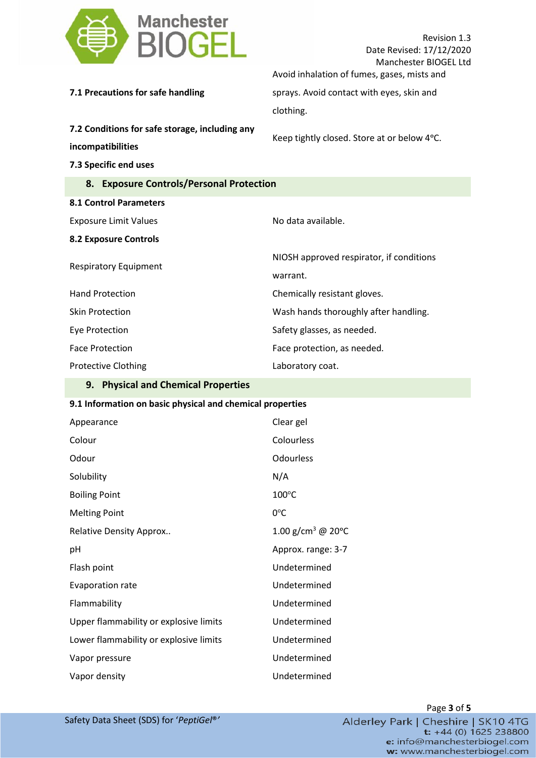| Manchester<br><b>BIOGEL</b>                                         | Revision 1.3<br>Date Revised: 17/12/2020<br>Manchester BIOGEL Ltd |
|---------------------------------------------------------------------|-------------------------------------------------------------------|
|                                                                     | Avoid inhalation of fumes, gases, mists and                       |
| 7.1 Precautions for safe handling                                   | sprays. Avoid contact with eyes, skin and                         |
|                                                                     | clothing.                                                         |
| 7.2 Conditions for safe storage, including any<br>incompatibilities | Keep tightly closed. Store at or below 4°C.                       |
| 7.3 Specific end uses                                               |                                                                   |
| 8. Exposure Controls/Personal Protection                            |                                                                   |
| <b>8.1 Control Parameters</b>                                       |                                                                   |
| <b>Exposure Limit Values</b>                                        | No data available.                                                |
| <b>8.2 Exposure Controls</b>                                        |                                                                   |
| <b>Respiratory Equipment</b>                                        | NIOSH approved respirator, if conditions                          |
|                                                                     | warrant.                                                          |
| <b>Hand Protection</b>                                              | Chemically resistant gloves.                                      |
| <b>Skin Protection</b>                                              | Wash hands thoroughly after handling.                             |
| Eye Protection                                                      | Safety glasses, as needed.                                        |
| <b>Face Protection</b>                                              | Face protection, as needed.                                       |
| <b>Protective Clothing</b>                                          | Laboratory coat.                                                  |
| <b>Construction of Characterine</b>                                 |                                                                   |

## **9. Physical and Chemical Properties**

## **9.1 Information on basic physical and chemical properties**

| Appearance                             | Clear gel                     |
|----------------------------------------|-------------------------------|
| Colour                                 | Colourless                    |
| Odour                                  | Odourless                     |
| Solubility                             | N/A                           |
| <b>Boiling Point</b>                   | $100^{\circ}$ C               |
| <b>Melting Point</b>                   | $0^{\circ}$ C                 |
| <b>Relative Density Approx</b>         | 1.00 g/cm <sup>3</sup> @ 20°C |
| рH                                     | Approx. range: 3-7            |
| Flash point                            | Undetermined                  |
| <b>Evaporation rate</b>                | Undetermined                  |
| Flammability                           | Undetermined                  |
| Upper flammability or explosive limits | Undetermined                  |
| Lower flammability or explosive limits | Undetermined                  |
| Vapor pressure                         | Undetermined                  |
| Vapor density                          | Undetermined                  |

Page **3** of **5** Alderley Park | Cheshire | SK10 4TG<br>t: +44 (0) 1625 238800 e: info@manchesterbiogel.com w: www.manchesterbiogel.com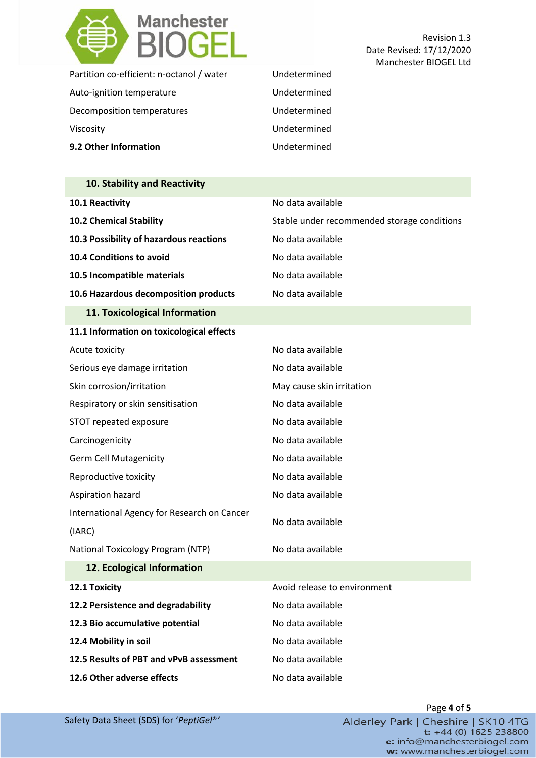

Revision 1.3 Date Revised: 17/12/2020 Manchester BIOGEL Ltd

| 9.2 Other Information                     | Undetermined |
|-------------------------------------------|--------------|
| Viscosity                                 | Undetermined |
| Decomposition temperatures                | Undetermined |
| Auto-ignition temperature                 | Undetermined |
| Partition co-efficient: n-octanol / water | Undetermined |

| 10. Stability and Reactivity                          |                                             |
|-------------------------------------------------------|---------------------------------------------|
| 10.1 Reactivity                                       | No data available                           |
| 10.2 Chemical Stability                               | Stable under recommended storage conditions |
| 10.3 Possibility of hazardous reactions               | No data available                           |
| 10.4 Conditions to avoid                              | No data available                           |
| 10.5 Incompatible materials                           | No data available                           |
| 10.6 Hazardous decomposition products                 | No data available                           |
| 11. Toxicological Information                         |                                             |
| 11.1 Information on toxicological effects             |                                             |
| Acute toxicity                                        | No data available                           |
| Serious eye damage irritation                         | No data available                           |
| Skin corrosion/irritation                             | May cause skin irritation                   |
| Respiratory or skin sensitisation                     | No data available                           |
| STOT repeated exposure                                | No data available                           |
| Carcinogenicity                                       | No data available                           |
| <b>Germ Cell Mutagenicity</b>                         | No data available                           |
| Reproductive toxicity                                 | No data available                           |
| Aspiration hazard                                     | No data available                           |
| International Agency for Research on Cancer<br>(IARC) | No data available                           |
| National Toxicology Program (NTP)                     | No data available                           |
| 12. Ecological Information                            |                                             |
| 12.1 Toxicity                                         | Avoid release to environment                |
| 12.2 Persistence and degradability                    | No data available                           |
| 12.3 Bio accumulative potential                       | No data available                           |
| 12.4 Mobility in soil                                 | No data available                           |
| 12.5 Results of PBT and vPvB assessment               | No data available                           |
| 12.6 Other adverse effects                            | No data available                           |

Page **4** of **5** Alderley Park | Cheshire | SK10 4TG  $\frac{1}{2}$  +44 (0) 1625 238800 e: info@manchesterbiogel.com w: www.manchesterbiogel.com